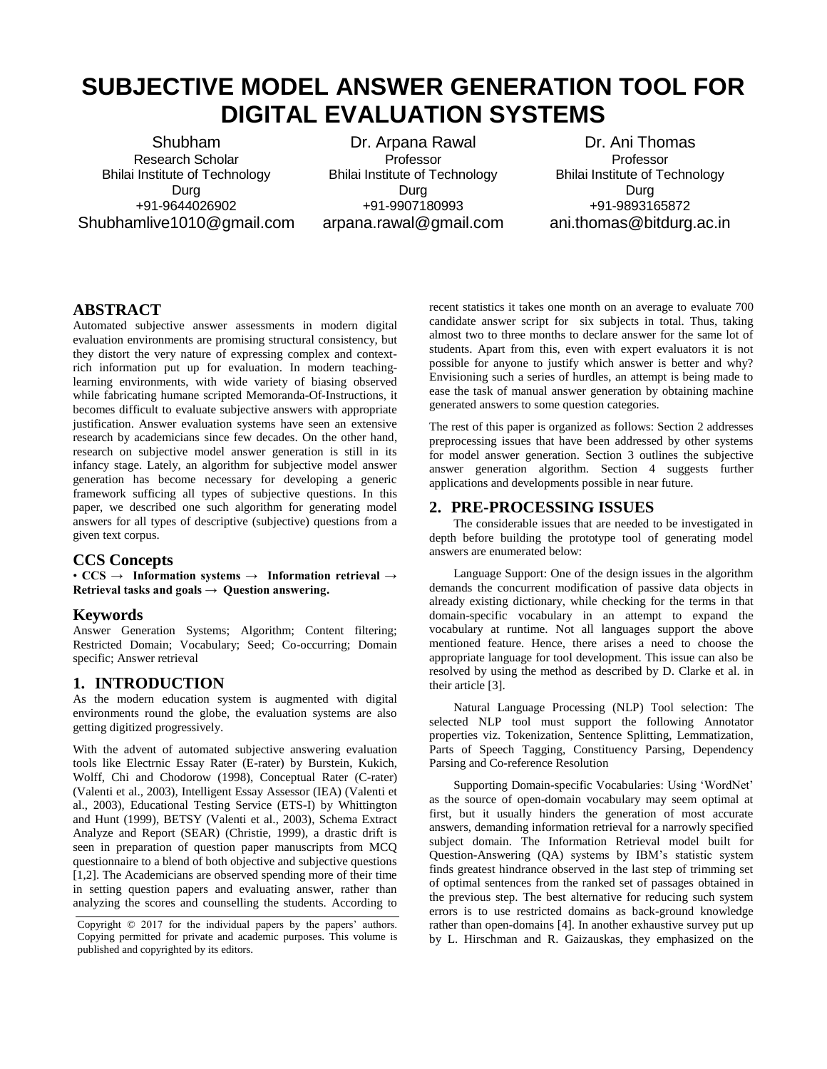# **SUBJECTIVE MODEL ANSWER GENERATION TOOL FOR DIGITAL EVALUATION SYSTEMS**

Shubham Research Scholar Bhilai Institute of Technology Durg +91-9644026902 Shubhamlive1010@gmail.com

Dr. Arpana Rawal Professor Bhilai Institute of Technology Durg +91-9907180993 arpana.rawal@gmail.com

Dr. Ani Thomas **Professor** Bhilai Institute of Technology Durg +91-9893165872 ani.thomas@bitdurg.ac.in

## **ABSTRACT**

Automated subjective answer assessments in modern digital evaluation environments are promising structural consistency, but they distort the very nature of expressing complex and contextrich information put up for evaluation. In modern teachinglearning environments, with wide variety of biasing observed while fabricating humane scripted Memoranda-Of-Instructions, it becomes difficult to evaluate subjective answers with appropriate justification. Answer evaluation systems have seen an extensive research by academicians since few decades. On the other hand, research on subjective model answer generation is still in its infancy stage. Lately, an algorithm for subjective model answer generation has become necessary for developing a generic framework sufficing all types of subjective questions. In this paper, we described one such algorithm for generating model answers for all types of descriptive (subjective) questions from a given text corpus.

## **CCS Concepts**

• **CCS → Information systems → Information retrieval → Retrieval tasks and goals → Question answering.**

## **Keywords**

Answer Generation Systems; Algorithm; Content filtering; Restricted Domain; Vocabulary; Seed; Co-occurring; Domain specific; Answer retrieval

# **1. INTRODUCTION**

As the modern education system is augmented with digital environments round the globe, the evaluation systems are also getting digitized progressively.

With the advent of automated subjective answering evaluation tools like Electrnic Essay Rater (E-rater) by Burstein, Kukich, Wolff, Chi and Chodorow (1998), Conceptual Rater (C-rater) (Valenti et al., 2003), Intelligent Essay Assessor (IEA) (Valenti et al., 2003), Educational Testing Service (ETS-I) by Whittington and Hunt (1999), BETSY (Valenti et al., 2003), Schema Extract Analyze and Report (SEAR) (Christie, 1999), a drastic drift is seen in preparation of question paper manuscripts from MCQ questionnaire to a blend of both objective and subjective questions [1,2]. The Academicians are observed spending more of their time in setting question papers and evaluating answer, rather than analyzing the scores and counselling the students. According to recent statistics it takes one month on an average to evaluate 700 candidate answer script for six subjects in total. Thus, taking almost two to three months to declare answer for the same lot of students. Apart from this, even with expert evaluators it is not possible for anyone to justify which answer is better and why? Envisioning such a series of hurdles, an attempt is being made to ease the task of manual answer generation by obtaining machine generated answers to some question categories.

The rest of this paper is organized as follows: Section 2 addresses preprocessing issues that have been addressed by other systems for model answer generation. Section 3 outlines the subjective answer generation algorithm. Section 4 suggests further applications and developments possible in near future.

## **2. PRE-PROCESSING ISSUES**

The considerable issues that are needed to be investigated in depth before building the prototype tool of generating model answers are enumerated below:

Language Support: One of the design issues in the algorithm demands the concurrent modification of passive data objects in already existing dictionary, while checking for the terms in that domain-specific vocabulary in an attempt to expand the vocabulary at runtime. Not all languages support the above mentioned feature. Hence, there arises a need to choose the appropriate language for tool development. This issue can also be resolved by using the method as described by D. Clarke et al. in their article [3].

Natural Language Processing (NLP) Tool selection: The selected NLP tool must support the following Annotator properties viz. Tokenization, Sentence Splitting, Lemmatization, Parts of Speech Tagging, Constituency Parsing, Dependency Parsing and Co-reference Resolution

Supporting Domain-specific Vocabularies: Using 'WordNet' as the source of open-domain vocabulary may seem optimal at first, but it usually hinders the generation of most accurate answers, demanding information retrieval for a narrowly specified subject domain. The Information Retrieval model built for Question-Answering (QA) systems by IBM's statistic system finds greatest hindrance observed in the last step of trimming set of optimal sentences from the ranked set of passages obtained in the previous step. The best alternative for reducing such system errors is to use restricted domains as back-ground knowledge rather than open-domains [4]. In another exhaustive survey put up by L. Hirschman and R. Gaizauskas, they emphasized on the

Copyright © 2017 for the individual papers by the papers' authors. Copying permitted for private and academic purposes. This volume is published and copyrighted by its editors.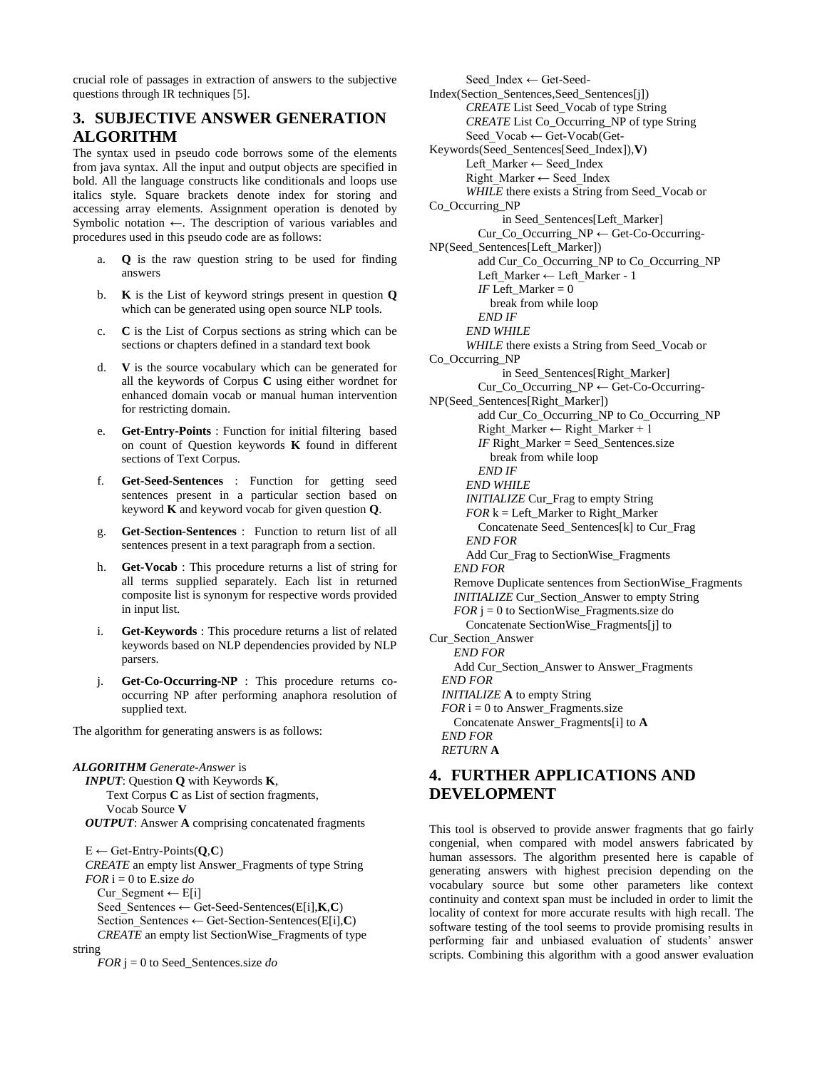crucial role of passages in extraction of answers to the subjective questions through IR techniques [5].

# **3. SUBJECTIVE ANSWER GENERATION ALGORITHM**

The syntax used in pseudo code borrows some of the elements from java syntax. All the input and output objects are specified in bold. All the language constructs like conditionals and loops use italics style. Square brackets denote index for storing and accessing array elements. Assignment operation is denoted by Symbolic notation ←. The description of various variables and procedures used in this pseudo code are as follows:

- a. **Q** is the raw question string to be used for finding answers
- b. **K** is the List of keyword strings present in question **Q** which can be generated using open source NLP tools.
- c. **C** is the List of Corpus sections as string which can be sections or chapters defined in a standard text book
- d. **V** is the source vocabulary which can be generated for all the keywords of Corpus **C** using either wordnet for enhanced domain vocab or manual human intervention for restricting domain.
- e. **Get-Entry-Points** : Function for initial filtering based on count of Question keywords **K** found in different sections of Text Corpus.
- f. **Get-Seed-Sentences** : Function for getting seed sentences present in a particular section based on keyword **K** and keyword vocab for given question **Q**.
- g. **Get-Section-Sentences** : Function to return list of all sentences present in a text paragraph from a section.
- h. **Get-Vocab** : This procedure returns a list of string for all terms supplied separately. Each list in returned composite list is synonym for respective words provided in input list.
- i. **Get-Keywords** : This procedure returns a list of related keywords based on NLP dependencies provided by NLP parsers.
- j. **Get-Co-Occurring-NP** : This procedure returns cooccurring NP after performing anaphora resolution of supplied text.

The algorithm for generating answers is as follows:

#### *ALGORITHM Generate-Answer* is

```
 INPUT: Question Q with Keywords K, 
    Text Corpus C as List of section fragments, 
    Vocab Source V
OUTPUT: Answer A comprising concatenated fragments
```
 $E \leftarrow$  Get-Entry-Points( $Q, C$ ) *CREATE* an empty list Answer\_Fragments of type String  $FOR$  i = 0 to E.size *do* Cur\_Segment  $\leftarrow$  E[i] Seed\_Sentences ← Get-Seed-Sentences(E[i],**K**,**C**) Section\_Sentences ← Get-Section-Sentences(E[i],**C**) *CREATE* an empty list SectionWise\_Fragments of type string

*FOR* j = 0 to Seed\_Sentences.size *do*

 Seed\_Index ← Get-Seed-Index(Section\_Sentences,Seed\_Sentences[j]) *CREATE* List Seed\_Vocab of type String *CREATE* List Co\_Occurring\_NP of type String Seed\_Vocab ← Get-Vocab(Get-Keywords(Seed\_Sentences[Seed\_Index]),**V**) Left\_Marker ← Seed\_Index Right\_Marker ← Seed\_Index *WHILE* there exists a String from Seed\_Vocab or Co\_Occurring\_NP in Seed\_Sentences[Left\_Marker] Cur\_Co\_Occurring\_NP ← Get-Co-Occurring-NP(Seed\_Sentences[Left\_Marker]) add Cur\_Co\_Occurring\_NP to Co\_Occurring\_NP Left\_Marker ← Left\_Marker - 1 *IF* Left\_Marker =  $0$  break from while loop *END IF END WHILE WHILE* there exists a String from Seed\_Vocab or Co\_Occurring\_NP in Seed\_Sentences[Right\_Marker] Cur\_Co\_Occurring\_NP ← Get-Co-Occurring-NP(Seed\_Sentences[Right\_Marker]) add Cur\_Co\_Occurring\_NP to Co\_Occurring\_NP Right\_Marker ← Right\_Marker + 1 *IF* Right\_Marker = Seed\_Sentences.size break from while loop *END IF END WHILE INITIALIZE* Cur\_Frag to empty String  $FOR$  k = Left\_Marker to Right\_Marker Concatenate Seed\_Sentences[k] to Cur\_Frag *END FOR* Add Cur\_Frag to SectionWise\_Fragments *END FOR* Remove Duplicate sentences from SectionWise\_Fragments *INITIALIZE* Cur\_Section\_Answer to empty String  $FOR$  j = 0 to SectionWise Fragments.size do Concatenate SectionWise\_Fragments[j] to Cur\_Section\_Answer *END FOR* Add Cur\_Section\_Answer to Answer\_Fragments *END FOR INITIALIZE* **A** to empty String  $FOR$  i = 0 to Answer\_Fragments.size Concatenate Answer\_Fragments[i] to **A** *END FOR RETURN* **A**

# **4. FURTHER APPLICATIONS AND DEVELOPMENT**

This tool is observed to provide answer fragments that go fairly congenial, when compared with model answers fabricated by human assessors. The algorithm presented here is capable of generating answers with highest precision depending on the vocabulary source but some other parameters like context continuity and context span must be included in order to limit the locality of context for more accurate results with high recall. The software testing of the tool seems to provide promising results in performing fair and unbiased evaluation of students' answer scripts. Combining this algorithm with a good answer evaluation